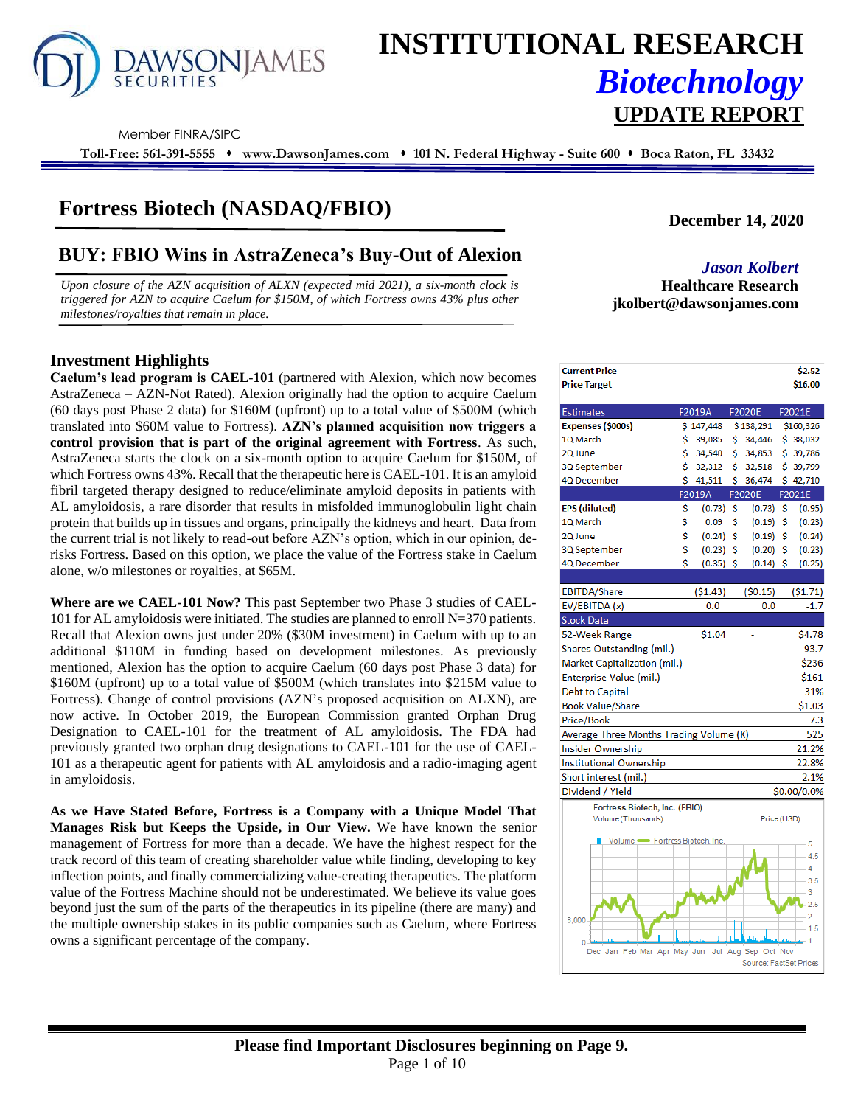

# **INSTITUTIONAL RESEARCH** *Biotechnology* **UPDATE REPORT**

Member FINRA/SIPC

**Toll-Free: 561-391-5555** ⬧ **www.DawsonJames.com** ⬧ **101 N. Federal Highway - Suite 600** ⬧ **Boca Raton, FL 33432**

### **Fortress Biotech (NASDAQ/FBIO)**

## **BUY: FBIO Wins in AstraZeneca's Buy-Out of Alexion** *Jason Kolbert*

*Upon closure of the AZN acquisition of ALXN (expected mid 2021), a six-month clock is triggered for AZN to acquire Caelum for \$150M, of which Fortress owns 43% plus other milestones/royalties that remain in place.*

#### **Investment Highlights** *).*

**Caelum's lead program is CAEL-101** (partnered with Alexion, which now becomes AstraZeneca – AZN-Not Rated). Alexion originally had the option to acquire Caelum (60 days post Phase 2 data) for \$160M (upfront) up to a total value of \$500M (which translated into \$60M value to Fortress). **AZN's planned acquisition now triggers a control provision that is part of the original agreement with Fortress**. As such, AstraZeneca starts the clock on a six-month option to acquire Caelum for \$150M, of which Fortress owns 43%. Recall that the therapeutic here is CAEL-101. It is an amyloid fibril targeted therapy designed to reduce/eliminate amyloid deposits in patients with AL amyloidosis, a rare disorder that results in misfolded immunoglobulin light chain protein that builds up in tissues and organs, principally the kidneys and heart. Data from the current trial is not likely to read-out before AZN's option, which in our opinion, derisks Fortress. Based on this option, we place the value of the Fortress stake in Caelum alone, w/o milestones or royalties, at \$65M.

**Where are we CAEL-101 Now?** This past September two Phase 3 studies of CAEL-101 for AL amyloidosis were initiated. The studies are planned to enroll  $N=370$  patients. Recall that Alexion owns just under 20% (\$30M investment) in Caelum with up to an additional \$110M in funding based on development milestones. As previously mentioned, Alexion has the option to acquire Caelum (60 days post Phase 3 data) for \$160M (upfront) up to a total value of \$500M (which translates into \$215M value to Fortress). Change of control provisions (AZN's proposed acquisition on ALXN), are now active. In October 2019, the European Commission granted Orphan Drug Designation to CAEL-101 for the treatment of AL amyloidosis. The FDA had previously granted two orphan drug designations to CAEL-101 for the use of CAEL-101 as a therapeutic agent for patients with AL amyloidosis and a radio-imaging agent in amyloidosis.

**As we Have Stated Before, Fortress is a Company with a Unique Model That Manages Risk but Keeps the Upside, in Our View.** We have known the senior management of Fortress for more than a decade. We have the highest respect for the track record of this team of creating shareholder value while finding, developing to key inflection points, and finally commercializing value-creating therapeutics. The platform value of the Fortress Machine should not be underestimated. We believe its value goes beyond just the sum of the parts of the therapeutics in its pipeline (there are many) and the multiple ownership stakes in its public companies such as Caelum, where Fortress owns a significant percentage of the company.

**December 14, 2020**

## **Healthcare Research jkolbert@dawsonjames.com**

| <b>Current Price</b>                    |    |             |     |             | \$2.52         |
|-----------------------------------------|----|-------------|-----|-------------|----------------|
| <b>Price Target</b>                     |    |             |     |             | \$16.00        |
|                                         |    | F2019A      |     | F2020E      | F2021E         |
| Estimates<br>Expenses (\$000s)          |    | \$147,448   |     | \$138,291   | \$160,326      |
| LQ March                                | \$ | 39,085      | \$. | 34,446      | \$38,032       |
| 2Q June                                 | Ś. | 34,540      | \$  | 34,853      | \$39,786       |
| 3Q September                            | \$ | 32,312      | \$. | 32,518      | \$39,799       |
| <b>IQ</b> December                      | Ś  | 41,511      | Ś.  | 36,474      | \$42,710       |
|                                         |    | F2019A      |     | F2020E      | F2021E         |
| <b>EPS</b> (diluted)                    | \$ | (0.73)      | \$  | (0.73)      | \$<br>(0.95)   |
| LQ March                                | \$ | 0.09        | \$  | (0.19)      | \$<br>(0.23)   |
| 2Q June                                 | \$ | (0.24)      | \$  | (0.19)      | \$<br>(0.24)   |
| 3Q September                            | \$ | (0.23)      | Ŝ.  | (0.20)      | \$<br>(0.23)   |
| IQ December                             | Ś  | $(0.35)$ \$ |     | $(0.14)$ \$ | (0.25)         |
|                                         |    |             |     |             |                |
| <b>EBITDA/Share</b>                     |    | (51.43)     |     | (50.15)     | (51.71)        |
| EV/EBITDA (x)                           |    | 0.0         |     | 0.0         | $-1.7$         |
| Stock Data                              |    |             |     |             |                |
| 52-Week Range                           |    | \$1.04      |     |             | \$4.78         |
| Shares Outstanding (mil.)               |    |             |     |             | 93.7           |
| Market Capitalization (mil.)            |    |             |     |             | \$236          |
| Enterprise Value (mil.)                 |    |             |     |             | \$161          |
| Debt to Capital                         |    |             |     |             | 31%            |
| Book Value/Share                        |    |             |     |             | \$1.03         |
| Price/Book                              |    |             |     |             | 7.3            |
| Average Three Months Trading Volume (K) |    |             |     |             | 525            |
| nsider Ownership                        |    |             |     |             | 21.2%          |
| nstitutional Ownership                  |    |             |     |             | 22.8%          |
| Short interest (mil.)                   |    |             |     |             | 2.1%           |
| Dividend / Yield                        |    |             |     |             | \$0.00/0.0%    |
| Fortress Biotech, Inc. (FBIO)           |    |             |     |             |                |
| Volume (Thousands)                      |    |             |     | Price (USD) |                |
| Volume - Fortress Biotech, Inc.         |    |             |     |             | 5              |
|                                         |    |             |     |             | 4.5            |
|                                         |    |             |     |             | 4              |
|                                         |    |             |     |             | 3.5            |
|                                         |    |             |     |             | 3              |
|                                         |    |             |     |             | 2.5            |
| 8,000                                   |    |             |     |             | $\overline{2}$ |
|                                         |    |             |     |             | 1.5<br>1       |
| 0                                       |    |             |     |             |                |

Source: FactSet Price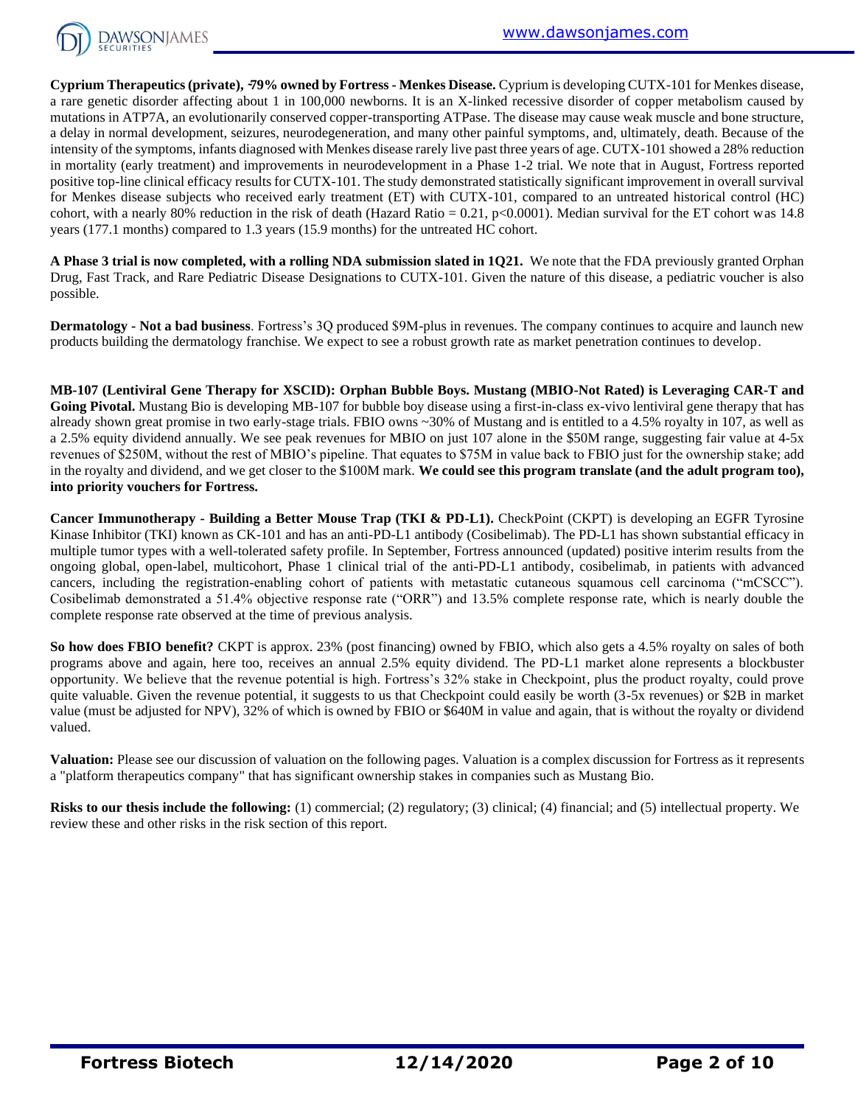

**Cyprium Therapeutics (private), ̴79% owned by Fortress - Menkes Disease.** Cyprium is developing CUTX-101 for Menkes disease, a rare genetic disorder affecting about 1 in 100,000 newborns. It is an X-linked recessive disorder of copper metabolism caused by mutations in ATP7A, an evolutionarily conserved copper-transporting ATPase. The disease may cause weak muscle and bone structure, a delay in normal development, seizures, neurodegeneration, and many other painful symptoms, and, ultimately, death. Because of the intensity of the symptoms, infants diagnosed with Menkes disease rarely live past three years of age. CUTX-101 showed a 28% reduction in mortality (early treatment) and improvements in neurodevelopment in a Phase 1-2 trial. We note that in August, Fortress reported positive top-line clinical efficacy results for CUTX-101. The study demonstrated statistically significant improvement in overall survival for Menkes disease subjects who received early treatment (ET) with CUTX-101, compared to an untreated historical control (HC) cohort, with a nearly 80% reduction in the risk of death (Hazard Ratio =  $0.21$ , p<0.0001). Median survival for the ET cohort was 14.8 years (177.1 months) compared to 1.3 years (15.9 months) for the untreated HC cohort.

**A Phase 3 trial is now completed, with a rolling NDA submission slated in 1Q21.** We note that the FDA previously granted Orphan Drug, Fast Track, and Rare Pediatric Disease Designations to CUTX-101. Given the nature of this disease, a pediatric voucher is also possible.

**Dermatology - Not a bad business**. Fortress's 3Q produced \$9M-plus in revenues. The company continues to acquire and launch new products building the dermatology franchise. We expect to see a robust growth rate as market penetration continues to develop.

**MB-107 (Lentiviral Gene Therapy for XSCID): Orphan Bubble Boys. Mustang (MBIO-Not Rated) is Leveraging CAR-T and**  Going Pivotal. Mustang Bio is developing MB-107 for bubble boy disease using a first-in-class ex-vivo lentiviral gene therapy that has already shown great promise in two early-stage trials. FBIO owns ~30% of Mustang and is entitled to a 4.5% royalty in 107, as well as a 2.5% equity dividend annually. We see peak revenues for MBIO on just 107 alone in the \$50M range, suggesting fair value at 4-5x revenues of \$250M, without the rest of MBIO's pipeline. That equates to \$75M in value back to FBIO just for the ownership stake; add in the royalty and dividend, and we get closer to the \$100M mark. **We could see this program translate (and the adult program too), into priority vouchers for Fortress.**

**Cancer Immunotherapy - Building a Better Mouse Trap (TKI & PD-L1).** CheckPoint (CKPT) is developing an EGFR Tyrosine Kinase Inhibitor (TKI) known as CK-101 and has an anti-PD-L1 antibody (Cosibelimab). The PD-L1 has shown substantial efficacy in multiple tumor types with a well-tolerated safety profile. In September, Fortress announced (updated) positive interim results from the ongoing global, open-label, multicohort, Phase 1 clinical trial of the anti-PD-L1 antibody, cosibelimab, in patients with advanced cancers, including the registration-enabling cohort of patients with metastatic cutaneous squamous cell carcinoma ("mCSCC"). Cosibelimab demonstrated a 51.4% objective response rate ("ORR") and 13.5% complete response rate, which is nearly double the complete response rate observed at the time of previous analysis.

**So how does FBIO benefit?** CKPT is approx. 23% (post financing) owned by FBIO, which also gets a 4.5% royalty on sales of both programs above and again, here too, receives an annual 2.5% equity dividend. The PD-L1 market alone represents a blockbuster opportunity. We believe that the revenue potential is high. Fortress's 32% stake in Checkpoint, plus the product royalty, could prove quite valuable. Given the revenue potential, it suggests to us that Checkpoint could easily be worth (3-5x revenues) or \$2B in market value (must be adjusted for NPV), 32% of which is owned by FBIO or \$640M in value and again, that is without the royalty or dividend valued.

**Valuation:** Please see our discussion of valuation on the following pages. Valuation is a complex discussion for Fortress as it represents a "platform therapeutics company" that has significant ownership stakes in companies such as Mustang Bio.

**Risks to our thesis include the following:** (1) commercial; (2) regulatory; (3) clinical; (4) financial; and (5) intellectual property. We review these and other risks in the risk section of this report.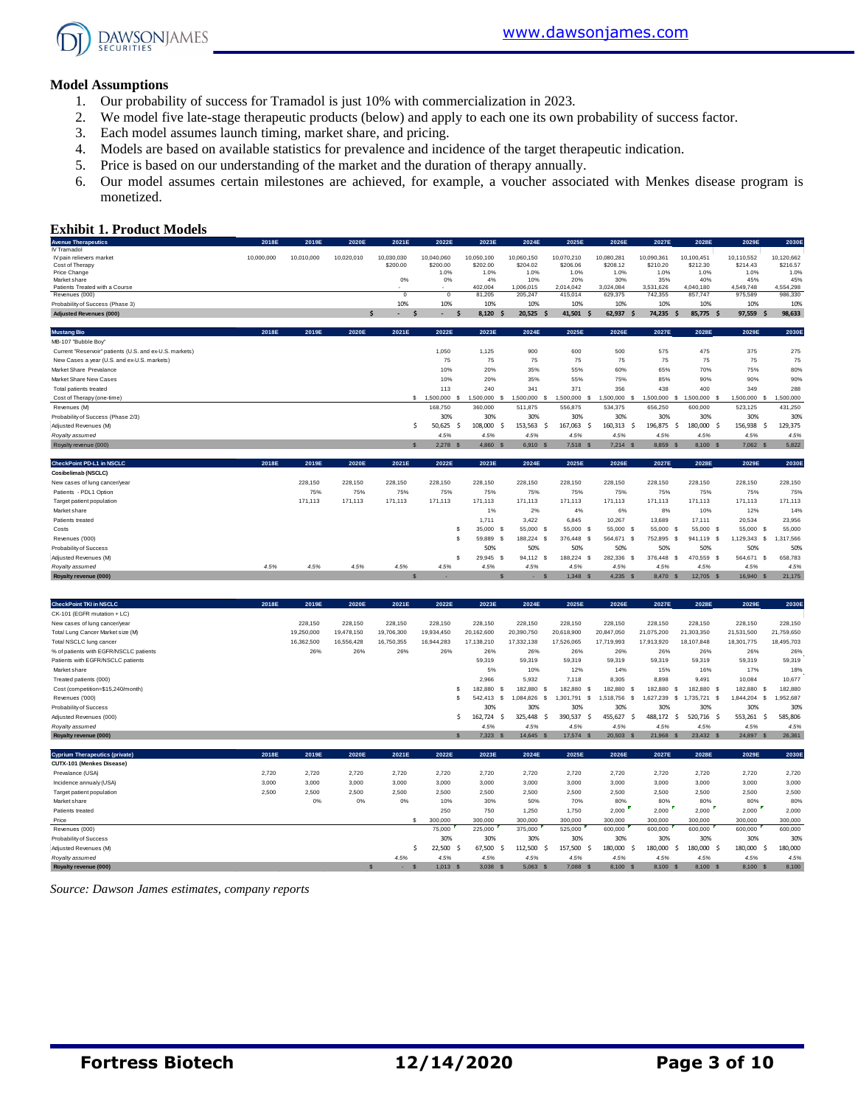

#### **Model Assumptions**

- 1. Our probability of success for Tramadol is just 10% with commercialization in 2023.
- 2. We model five late-stage therapeutic products (below) and apply to each one its own probability of success factor.
- 3. Each model assumes launch timing, market share, and pricing.
- 4. Models are based on available statistics for prevalence and incidence of the target therapeutic indication.
- 5. Price is based on our understanding of the market and the duration of therapy annually.
- 6. Our model assumes certain milestones are achieved, for example, a voucher associated with Menkes disease program is monetized.

#### **Exhibit 1. Product Models**

| <b>Exhibit 1. Product Models</b>                        |            |            |            |                        |                             |                        |                                     |                                        |                        |                        |                                      |                                      |                        |
|---------------------------------------------------------|------------|------------|------------|------------------------|-----------------------------|------------------------|-------------------------------------|----------------------------------------|------------------------|------------------------|--------------------------------------|--------------------------------------|------------------------|
| <b>Avenue Therapeutics</b>                              | 2018E      | 2019E      | 2020E      | 2021E                  | 2022E                       | 2023E                  | 2024E                               | 2025E                                  | 2026E                  | 2027E                  | 2028E                                | 2029E                                | 2030E                  |
| IV Tramadol                                             |            |            |            |                        |                             |                        |                                     |                                        |                        |                        |                                      |                                      |                        |
| IV pain relievers market<br>Cost of Therapy             | 10,000,000 | 10,010,000 | 10,020,010 | 10,030,030<br>\$200.00 | 10,040,060<br>\$200.00      | 10,050,100<br>\$202.00 | 10,060,150<br>\$204.02              | 10,070,210<br>\$206.06                 | 10,080,281<br>\$208.12 | 10,090,361<br>\$210.20 | 10,100,451<br>\$212.30               | 10,110,552<br>\$214.43               | 10,120,662<br>\$216.57 |
| Price Change                                            |            |            |            |                        | 1.0%                        | 1.0%                   | 1.0%                                | 1.0%                                   | 1.0%                   | 1.0%                   | 1.0%                                 | 1.0%                                 | 1.0%                   |
| Market share                                            |            |            |            | 0%                     | 0%                          | 4%                     | 10%                                 | 20%                                    | 30%                    | 35%                    | 40%                                  | 45%                                  | 45%                    |
| Patients Treated with a Course<br>Revenues (000)        |            |            |            | $\overline{0}$         | $\overline{0}$              | 402,004<br>81,205      | 1,006,015<br>205.247                | 2,014,042<br>415.014                   | 3,024,084<br>629,375   | 3,531,626<br>742.355   | 4,040,180<br>857,747                 | 4,549,748<br>975,589                 | 4,554,298<br>986.330   |
| Probability of Success (Phase 3)                        |            |            |            | 10%                    | 10%                         | 10%                    | 10%                                 | 10%                                    | 10%                    | 10%                    | 10%                                  | 10%                                  | 10%                    |
| <b>Adjusted Revenues (000)</b>                          |            |            |            | Ŝ<br>\$.               |                             | 8.120                  | 20.525                              | 41,501<br>- 9<br><b>S</b>              | 62,937<br>S            | 74,235                 | 85,775 \$<br>.s                      | 97,559<br>×,                         | 98,633                 |
|                                                         |            |            |            |                        |                             |                        |                                     |                                        |                        |                        |                                      |                                      |                        |
| <b>Mustang Bio</b>                                      | 2018E      | 2019E      | 2020E      | 2021E                  | 2022E                       | 2023E                  | 2024E                               | 2025E                                  | 2026E                  | 2027E                  | 2028E                                | 2029E                                | 2030E                  |
| MB-107 "Bubble Boy"                                     |            |            |            |                        |                             |                        |                                     |                                        |                        |                        |                                      |                                      |                        |
| Current "Reservoir" patients (U.S. and ex-U.S. markets) |            |            |            |                        | 1,050                       | 1,125                  | 900                                 | 600                                    | 500                    | 575                    | 475                                  | 375                                  | 275                    |
| New Cases a year (U.S. and ex-U.S. markets)             |            |            |            |                        | 75                          | 75                     | 75                                  | 75                                     | 75                     | 75                     | 75                                   | 75                                   | 75                     |
| Market Share Prevalance                                 |            |            |            |                        | 10%                         | 20%                    | 35%                                 | 55%                                    | 60%                    | 65%                    | 70%                                  | 75%                                  | 80%                    |
| Market Share New Cases                                  |            |            |            |                        | 10%                         | 20%                    | 35%                                 | 55%                                    | 75%                    | 85%                    | 90%                                  | 90%                                  | 90%                    |
| Total patients treated                                  |            |            |            |                        | 113                         | 240                    | 341                                 | 371                                    | 356                    | 438                    | 400                                  | 349                                  | 288                    |
| Cost of Therapy (one-time)                              |            |            |            |                        | $$1,500,000$ \$             | 1,500,000              | 1,500,000<br>£.                     | 1,500,000<br>-S<br>- 8                 | 1,500,000<br>-S        | 1,500,000              | -S<br>1,500,000 \$                   | 1,500,000<br>-8                      | 1,500,000              |
| Revenues (M)                                            |            |            |            |                        | 168,750                     | 360,000                | 511,875                             | 556,875                                | 534,375                | 656,250                | 600,000                              | 523,125                              | 431,250                |
| Probability of Success (Phase 2/3)                      |            |            |            |                        | 30%                         | 30%                    | 30%                                 | 30%                                    | 30%                    | 30%                    | 30%                                  | 30%                                  | 30%                    |
| Adjusted Revenues (M)                                   |            |            |            |                        | $50,625$ \$<br>Ŝ            | 108,000                | -Ś<br>153,563                       | -\$<br>167,063<br>- \$                 | 160,313<br>- S         | 196,875                | 180,000 \$<br>-Ś                     | 156,938<br>Ŝ.                        | 129,375                |
| Royalty assumed                                         |            |            |            |                        | 4.5%                        | 4.5%                   | 4.5%                                | 4.5%                                   | 4.5%                   | 4.5%                   | 4.5%                                 | 4.5%                                 | 4.5%                   |
| Royalty revenue (000)                                   |            |            |            | S                      | 2,278<br>$\mathbf{\hat{s}}$ | 4,860                  | 6,910 \$<br>- S                     | 7,518<br>$\mathbf{s}$                  | $7,214$ \$             | 8,859 \$               | 8,100 \$                             | 7,062 \$                             | 5,822                  |
| CheckPoint PD-L1 in NSCLC                               | 2018E      | 2019E      | 2020E      | 2021E                  | 2022E                       | 2023E                  | 2024E                               | 2025E                                  | 2026E                  | 2027E                  | 2028E                                | 2029E                                | 2030E                  |
| Cosibelimab (NSCLC)                                     |            |            |            |                        |                             |                        |                                     |                                        |                        |                        |                                      |                                      |                        |
| New cases of lung cancer/year                           |            | 228,150    | 228,150    | 228,150                | 228,150                     | 228,150                | 228,150                             | 228,150                                | 228,150                | 228,150                | 228,150                              | 228,150                              | 228,150                |
| Patients - PDL1 Option                                  |            | 75%        | 75%        | 75%                    | 75%                         | 75%                    | 75%                                 | 75%                                    | 75%                    | 75%                    | 75%                                  | 75%                                  | 75%                    |
| Target patient population                               |            | 171.113    | 171.113    | 171.113                | 171.113                     | 171.113                | 171.113                             | 171.113                                | 171.113                | 171.113                | 171.113                              | 171.113                              | 171.113                |
| Market share                                            |            |            |            |                        |                             | 1%                     | 2%                                  | 4%                                     | 6%                     | 8%                     | 10%                                  | 12%                                  | 14%                    |
| Patients treated                                        |            |            |            |                        |                             | 1,711                  | 3,422                               | 6,845                                  | 10,267                 | 13,689                 | 17,111                               | 20,534                               | 23,956                 |
| Costs                                                   |            |            |            |                        | s                           | 35,000                 | 55,000 \$<br>- S                    | 55,000<br>- S                          | 55,000<br>- S          | 55,000                 | 55,000 \$<br>- S                     | 55,000<br>s                          | 55,000                 |
| Revenues ('000)                                         |            |            |            |                        | <sub>\$</sub>               | 59,889                 | 188,224 \$<br>- \$                  | 376,448 \$                             | 564,671 \$             | 752,895                | 941,119 \$<br>- S                    | 1,129,343 \$                         | 1,317,566              |
| Probability of Success                                  |            |            |            |                        |                             | 50%                    | 50%                                 | 50%                                    | 50%                    | 50%                    | 50%                                  | 50%                                  | 50%                    |
| Adjusted Revenues (M)                                   |            |            |            |                        | s                           | 29.945                 | 94.112<br>-S                        | 188,224<br>- S<br>- S                  | 282,336<br>-S          | 376,448                | 470,559 \$<br>-S                     | 564,671<br>- S                       | 658,783                |
| Royalty assumed                                         | 4.5%       | 4.5%       | 4.5%       | 4.5%                   | 4.5%                        | 4.5%                   | 4.5%                                | 4.5%                                   | 4.5%                   | 4.5%                   | 4.5%                                 | 4.5%                                 | 4.5%                   |
| Royalty revenue (000)                                   |            |            |            |                        |                             |                        |                                     | $1,348$ \$                             | 4,235 \$               | 8,470 \$               | 12,705 \$                            | 16,940 \$                            | 21,175                 |
|                                                         |            |            |            |                        |                             |                        |                                     |                                        |                        |                        |                                      |                                      |                        |
| <b>CheckPoint TKI in NSCLC</b>                          | 2018E      | 2019E      | 2020E      | 2021E                  | 2022E                       | 2023E                  | 2024E                               | 2025E                                  | 2026E                  | 2027E                  | 2028E                                | 2029E                                | 2030E                  |
| CK-101 (EGFR mutation + LC)                             |            |            |            |                        |                             |                        |                                     |                                        |                        |                        |                                      |                                      |                        |
| New cases of lung cancer/year                           |            | 228,150    | 228,150    | 228,150                | 228,150                     | 228,150                | 228,150                             | 228,150                                | 228,150                | 228,150                | 228,150                              | 228,150                              | 228,150                |
| Total Lung Cancer Market size (M)                       |            | 19,250,000 | 19,478,150 | 19,706,300             | 19,934,450                  | 20,162,600             | 20,390,750                          | 20,618,900                             | 20,847,050             | 21,075,200             | 21,303,350                           | 21,531,500                           | 21,759,650             |
| Total NSCLC lung cancer                                 |            | 16,362,500 | 16,556,428 | 16,750,355             | 16,944,283                  | 17,138,210             | 17,332,138                          | 17,526,065                             | 17,719,993             | 17,913,920             | 18,107,848                           | 18,301,775                           | 18,495,703             |
| % of patients with EGFR/NSCLC patients                  |            | 26%        | 26%        | 26%                    | 26%                         | 26%                    | 26%                                 | 26%                                    | 26%                    | 26%                    | 26%                                  | 26%                                  | 26%                    |
| Patients with EGFR/NSCLC patients                       |            |            |            |                        |                             | 59,319                 | 59,319                              | 59,319                                 | 59,319                 | 59,319                 | 59,319                               | 59,319                               | 59,319                 |
| Market share                                            |            |            |            |                        |                             | 5%                     | 10%                                 | 12%                                    | 14%                    | 15%                    | 16%                                  | 17%                                  | 18%                    |
| Treated patients (000)                                  |            |            |            |                        |                             | 2.966                  | 5,932                               | 7,118                                  | 8,305                  | 8,898                  | 9,491                                | 10,084                               | 10,677                 |
| Cost (competition-\$15.240/month)                       |            |            |            |                        | s.                          | 182.880                | $\hat{\mathbf{z}}$<br><b>182 SB</b> | 182880<br>$\hat{\mathbf{z}}$<br>$\sim$ | 182.880<br>s,          | <b>088 CRI</b>         | $\hat{\mathbf{x}}$<br><b>182 880</b> | <b>182 880</b><br>$\hat{\mathbf{z}}$ | <b>182 880</b>         |

| Total NSCLC lung cancer                |       | 16,362,500 | 16,556,428 | 16,750,355 | 16,944,283 | 17,138,210   | 17,332,138         | 17,526,065 | 17,719,993   | 17,913,920      | 18,107,848         | 18,301,775    | 18,495,703 |
|----------------------------------------|-------|------------|------------|------------|------------|--------------|--------------------|------------|--------------|-----------------|--------------------|---------------|------------|
| % of patients with EGFR/NSCLC patients |       | 26%        | 26%        | 26%        | 26%        | 26%          | 26%                | 26%        | 26%          | 26%             | 26%                | 26%           | 26%        |
| Patients with EGFR/NSCLC patients      |       |            |            |            |            | 59,319       | 59,319             | 59,319     | 59,319       | 59,319          | 59,319             | 59,319        | 59,319     |
| Market share                           |       |            |            |            |            | 5%           | 10%                | 12%        | 14%          | 15%             | 16%                | 17%           | 18%        |
| Treated patients (000)                 |       |            |            |            |            | 2.966        | 5,932              | 7.118      | 8.305        | 8,898           | 9,491              | 10,084        | 10.677     |
| Cost (competition=\$15,240/month)      |       |            |            |            |            | 182,880      | 182,880 \$<br>- S  | 182,880    | 182,880      | 182,880<br>- 55 | 182,880 \$         | 182,880 \$    | 182,880    |
| Revenues ('000)                        |       |            |            |            |            | 542.413      | 1,084,826 \$<br>s. | 1.301.791  | 1,518,756    | .627.239<br>-55 | 1.735.721 \$<br>-S | ,844,204<br>s | ,952,687   |
| Probability of Success                 |       |            |            |            |            | 30%          | 30%                | 30%        | 30%          | 30%             | 30%                | 30%           | 30%        |
| Adjusted Revenues (000)                |       |            |            |            |            | 162,724      | 325.448 \$         | 390,537    | 455.627<br>ъ | 488.172<br>-S   | 520,716 \$         | 553,261<br>s  | 585,806    |
| Royalty assumed                        |       |            |            |            |            | 4.5%         | 4.5%               | 4.5%       | 4.5%         | 4.5%            | 4.5%               | 4.5%          | 4.5%       |
| Royalty revenue (000)                  |       |            |            |            |            | 7,323<br>- 5 | 14,645 \$          | 17,574     | 20,503<br>-S | 21,968<br>-53   | 23,432 \$          | 24,897 \$     | 26,361     |
|                                        |       |            |            |            |            |              |                    |            |              |                 |                    |               |            |
| <b>Cyprium Therapeutics (private)</b>  | 2018E | 2019E      | 2020E      | 2021E      | 2022E      | 2023E        | 2024E              | 2025E      | 2026E        | 2027E           | 2028E              | 2029E         | 2030E      |
| CUTX-101 (Menkes Disease)              |       |            |            |            |            |              |                    |            |              |                 |                    |               |            |
| Prevalance (USA)                       | 2.720 | 2.720      | 2.720      | 2.720      | 2.720      | 2.720        | 2.720              | 2,720      | 2,720        | 2,720           | 2.720              | 2,720         | 2,720      |
| Incidence annualy (USA)                | 3.000 | 3,000      | 3.000      | 3.000      | 3,000      | 3,000        | 3,000              | 3,000      | 3,000        | 3,000           | 3,000              | 3,000         | 3,000      |
| Target patient population              | 2.500 | 2.500      | 2.500      | 2.500      | 2.500      | 2.500        | 2,500              | 2,500      | 2,500        | 2.500           | 2.500              | 2,500         | 2.500      |
| Market share                           |       | 0%         | 0%         | 0%         | 10%        | 30%          | 50%                | 70%        | 80%          | 80%             | 80%                | 80%           | 80%        |
| Patients treated                       |       |            |            |            | 250        | 750          | 1,250              | 1,750      | 2,000        | 2,000           | 2,000              | 2,000         | 2,000      |
| Price                                  |       |            |            |            | 300,000    | 300,000      | 300,000            | 300,000    | 300,000      | 300,000         | 300,000            | 300,000       | 300,000    |

Revenues (000) 75,000 225,000 375,000 525,000 600,000 600,000 600,000 600,000 600,000 Probability of Success 30% 30% 30% 30% 30% 30% 30% 30% 30% Adjusted Revenues (M) \$ 22,500 \$ 67,500 \$ 112,500 \$ 157,500 \$ 180,000 \$ 180,000 \$ 180,000 \$ 180,000 \$ 180,000 *Royalty assumed 4.5% 4.5% 4.5% 4.5% 4.5% 4.5% 4.5% 4.5% 4.5% 4.5%* **Royalty revenue (000)** \$ - \$ 1,013 \$ 3,038 \$ 5,063 \$ 7,088 \$ 8,100 \$ 8,100 \$ 8,100 \$ 8,100 \$ 8,100

*Source: Dawson James estimates, company reports*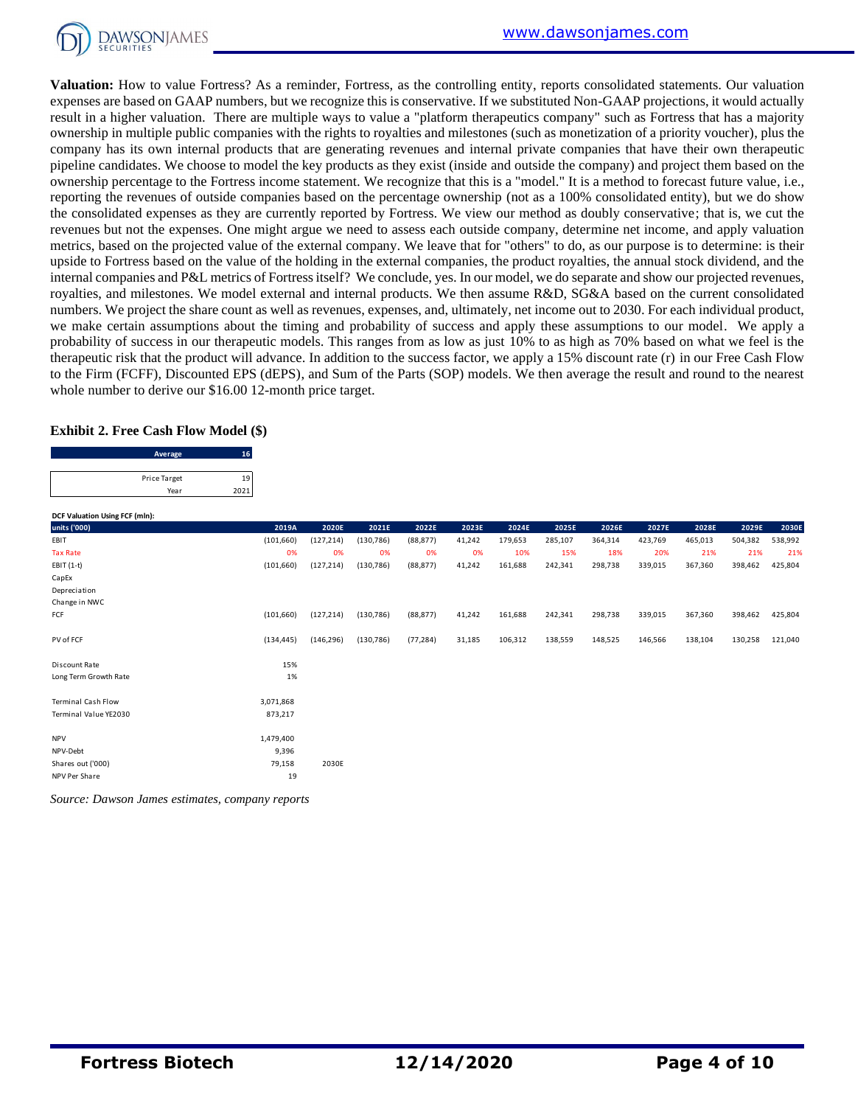

**Valuation:** How to value Fortress? As a reminder, Fortress, as the controlling entity, reports consolidated statements. Our valuation expenses are based on GAAP numbers, but we recognize this is conservative. If we substituted Non-GAAP projections, it would actually result in a higher valuation. There are multiple ways to value a "platform therapeutics company" such as Fortress that has a majority ownership in multiple public companies with the rights to royalties and milestones (such as monetization of a priority voucher), plus the company has its own internal products that are generating revenues and internal private companies that have their own therapeutic pipeline candidates. We choose to model the key products as they exist (inside and outside the company) and project them based on the ownership percentage to the Fortress income statement. We recognize that this is a "model." It is a method to forecast future value, i.e., reporting the revenues of outside companies based on the percentage ownership (not as a 100% consolidated entity), but we do show the consolidated expenses as they are currently reported by Fortress. We view our method as doubly conservative; that is, we cut the revenues but not the expenses. One might argue we need to assess each outside company, determine net income, and apply valuation metrics, based on the projected value of the external company. We leave that for "others" to do, as our purpose is to determine: is their upside to Fortress based on the value of the holding in the external companies, the product royalties, the annual stock dividend, and the internal companies and P&L metrics of Fortress itself? We conclude, yes. In our model, we do separate and show our projected revenues, royalties, and milestones. We model external and internal products. We then assume R&D, SG&A based on the current consolidated numbers. We project the share count as well as revenues, expenses, and, ultimately, net income out to 2030. For each individual product, we make certain assumptions about the timing and probability of success and apply these assumptions to our model. We apply a probability of success in our therapeutic models. This ranges from as low as just 10% to as high as 70% based on what we feel is the therapeutic risk that the product will advance. In addition to the success factor, we apply a 15% discount rate (r) in our Free Cash Flow to the Firm (FCFF), Discounted EPS (dEPS), and Sum of the Parts (SOP) models. We then average the result and round to the nearest

#### **Exhibit 2. Free Cash Flow Model (\$)**

| whole number to derive our \$16.00 12-month price target. |            |  |
|-----------------------------------------------------------|------------|--|
| <b>Exhibit 2. Free Cash Flow Model (\$)</b>               |            |  |
| Average                                                   | 16         |  |
| Price Target<br>Year                                      | 19<br>2021 |  |

| DCF Valuation Using FCF (mln): |            |            |            |           |        |         |         |         |         |         |         |         |
|--------------------------------|------------|------------|------------|-----------|--------|---------|---------|---------|---------|---------|---------|---------|
| units ('000)                   | 2019A      | 2020E      | 2021E      | 2022E     | 2023E  | 2024E   | 2025E   | 2026E   | 2027E   | 2028E   | 2029E   | 2030E   |
| EBIT                           | (101, 660) | (127, 214) | (130, 786) | (88, 877) | 41,242 | 179,653 | 285,107 | 364,314 | 423,769 | 465,013 | 504,382 | 538,992 |
| <b>Tax Rate</b>                | 0%         | 0%         | 0%         | 0%        | 0%     | 10%     | 15%     | 18%     | 20%     | 21%     | 21%     | 21%     |
| $EBIT(1-t)$                    | (101, 660) | (127, 214) | (130, 786) | (88, 877) | 41,242 | 161,688 | 242,341 | 298,738 | 339,015 | 367,360 | 398,462 | 425,804 |
| CapEx                          |            |            |            |           |        |         |         |         |         |         |         |         |
| Depreciation                   |            |            |            |           |        |         |         |         |         |         |         |         |
| Change in NWC                  |            |            |            |           |        |         |         |         |         |         |         |         |
| FCF                            | (101, 660) | (127, 214) | (130, 786) | (88, 877) | 41,242 | 161,688 | 242,341 | 298,738 | 339,015 | 367,360 | 398,462 | 425,804 |
| PV of FCF                      | (134, 445) | (146, 296) | (130, 786) | (77, 284) | 31,185 | 106,312 | 138,559 | 148,525 | 146,566 | 138,104 | 130,258 | 121,040 |
| Discount Rate                  | 15%        |            |            |           |        |         |         |         |         |         |         |         |
| Long Term Growth Rate          | 1%         |            |            |           |        |         |         |         |         |         |         |         |
| <b>Terminal Cash Flow</b>      | 3,071,868  |            |            |           |        |         |         |         |         |         |         |         |
| Terminal Value YE2030          | 873,217    |            |            |           |        |         |         |         |         |         |         |         |
| <b>NPV</b>                     | 1,479,400  |            |            |           |        |         |         |         |         |         |         |         |
| NPV-Debt                       | 9,396      |            |            |           |        |         |         |         |         |         |         |         |
| Shares out ('000)              | 79,158     | 2030E      |            |           |        |         |         |         |         |         |         |         |
| NPV Per Share                  | 19         |            |            |           |        |         |         |         |         |         |         |         |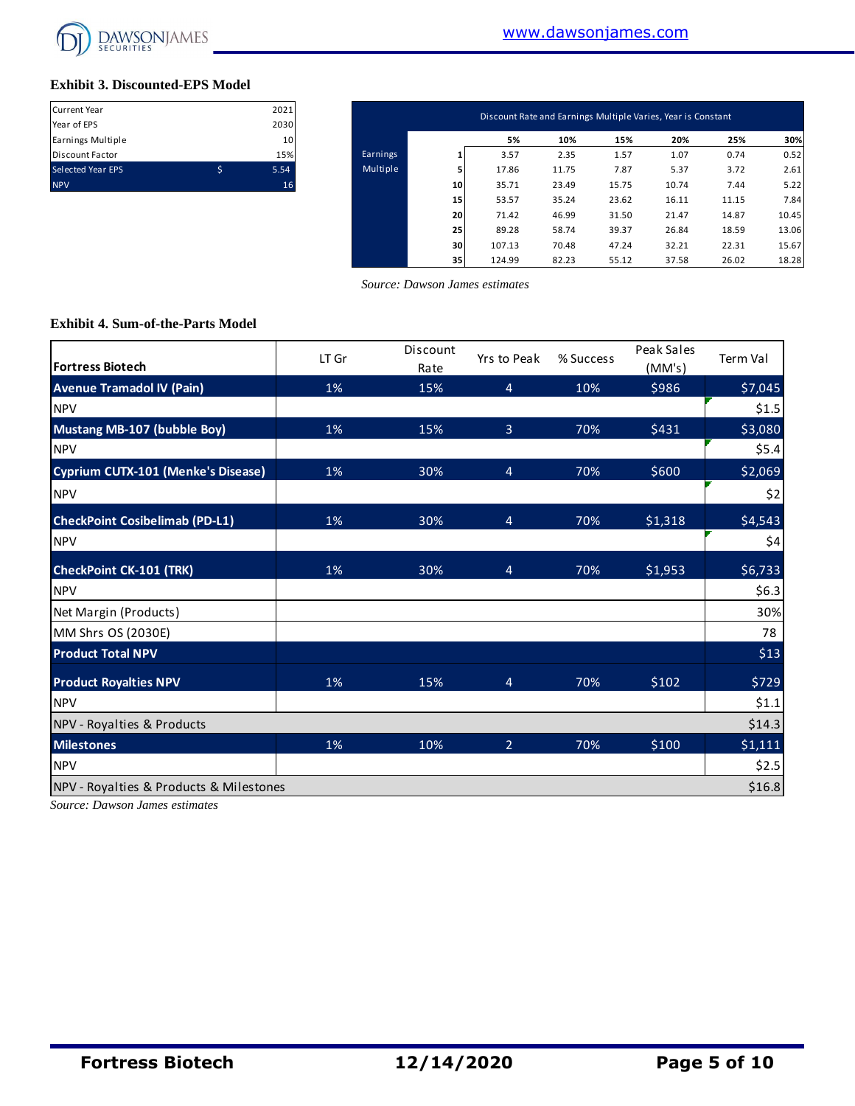

#### **Exhibit 3. Discounted-EPS Model**

| <b>Current Year</b>      | 2021 |
|--------------------------|------|
| Year of EPS              | 2030 |
| Earnings Multiple        | 10   |
| <b>Discount Factor</b>   | 15%  |
| <b>Selected Year EPS</b> | 5.54 |
| <b>NPV</b>               | 16   |

| Current Year<br>Year of EPS | 2021<br>2030 |          |    | Discount Rate and Earnings Multiple Varies, Year is Constant |       |       |       |       |       |
|-----------------------------|--------------|----------|----|--------------------------------------------------------------|-------|-------|-------|-------|-------|
| Earnings Multiple           | 10           |          |    | 5%                                                           | 10%   | 15%   | 20%   | 25%   | 30%   |
| Discount Factor             | 15%          | Earnings |    | 3.57                                                         | 2.35  | 1.57  | 1.07  | 0.74  | 0.52  |
| Selected Year EPS           | \$<br>5.54   | Multiple |    | 17.86                                                        | 11.75 | 7.87  | 5.37  | 3.72  | 2.61  |
| <b>NPV</b>                  | 16           |          | 10 | 35.71                                                        | 23.49 | 15.75 | 10.74 | 7.44  | 5.22  |
|                             |              |          | 15 | 53.57                                                        | 35.24 | 23.62 | 16.11 | 11.15 | 7.84  |
|                             |              |          | 20 | 71.42                                                        | 46.99 | 31.50 | 21.47 | 14.87 | 10.45 |
|                             |              |          | 25 | 89.28                                                        | 58.74 | 39.37 | 26.84 | 18.59 | 13.06 |
|                             |              |          | 30 | 107.13                                                       | 70.48 | 47.24 | 32.21 | 22.31 | 15.67 |
|                             |              |          | 35 | 124.99                                                       | 82.23 | 55.12 | 37.58 | 26.02 | 18.28 |

 *Source: Dawson James estimates*

#### **Exhibit 4. Sum-of-the-Parts Model**

| <b>Fortress Biotech</b>                 | LT Gr | Discount<br>Rate | Yrs to Peak    | % Success | Peak Sales<br>(MM's) | Term Val |
|-----------------------------------------|-------|------------------|----------------|-----------|----------------------|----------|
| <b>Avenue Tramadol IV (Pain)</b>        | 1%    | 15%              | $\overline{4}$ | 10%       | \$986                | \$7,045  |
| <b>NPV</b>                              |       |                  |                |           |                      | \$1.5    |
| Mustang MB-107 (bubble Boy)             | 1%    | 15%              | $\overline{3}$ | 70%       | \$431                | \$3,080  |
| <b>NPV</b>                              |       |                  |                |           |                      | \$5.4    |
| Cyprium CUTX-101 (Menke's Disease)      | 1%    | 30%              | $\overline{4}$ | 70%       | \$600                | \$2,069  |
| <b>NPV</b>                              |       |                  |                |           |                      | \$2      |
| <b>CheckPoint Cosibelimab (PD-L1)</b>   | 1%    | 30%              | $\overline{4}$ | 70%       | \$1,318              | \$4,543  |
| <b>NPV</b>                              |       |                  |                |           |                      | \$4      |
| <b>CheckPoint CK-101 (TRK)</b>          | 1%    | 30%              | $\overline{4}$ | 70%       | \$1,953              | \$6,733  |
| <b>NPV</b>                              |       |                  |                |           |                      | \$6.3    |
| Net Margin (Products)                   |       |                  |                |           |                      | 30%      |
| MM Shrs OS (2030E)                      |       |                  |                |           |                      | 78       |
| <b>Product Total NPV</b>                |       |                  |                |           |                      | \$13     |
| <b>Product Royalties NPV</b>            | 1%    | 15%              | $\overline{4}$ | 70%       | \$102                | \$729    |
| <b>NPV</b>                              |       |                  |                |           |                      | \$1.1    |
| NPV - Royalties & Products              |       |                  |                |           |                      | \$14.3   |
| <b>Milestones</b>                       | 1%    | 10%              | $\overline{2}$ | 70%       | \$100                | \$1,111  |
| <b>NPV</b>                              |       |                  |                |           |                      | \$2.5    |
| NPV - Royalties & Products & Milestones |       |                  |                |           |                      | \$16.8   |

*Source: Dawson James estimates*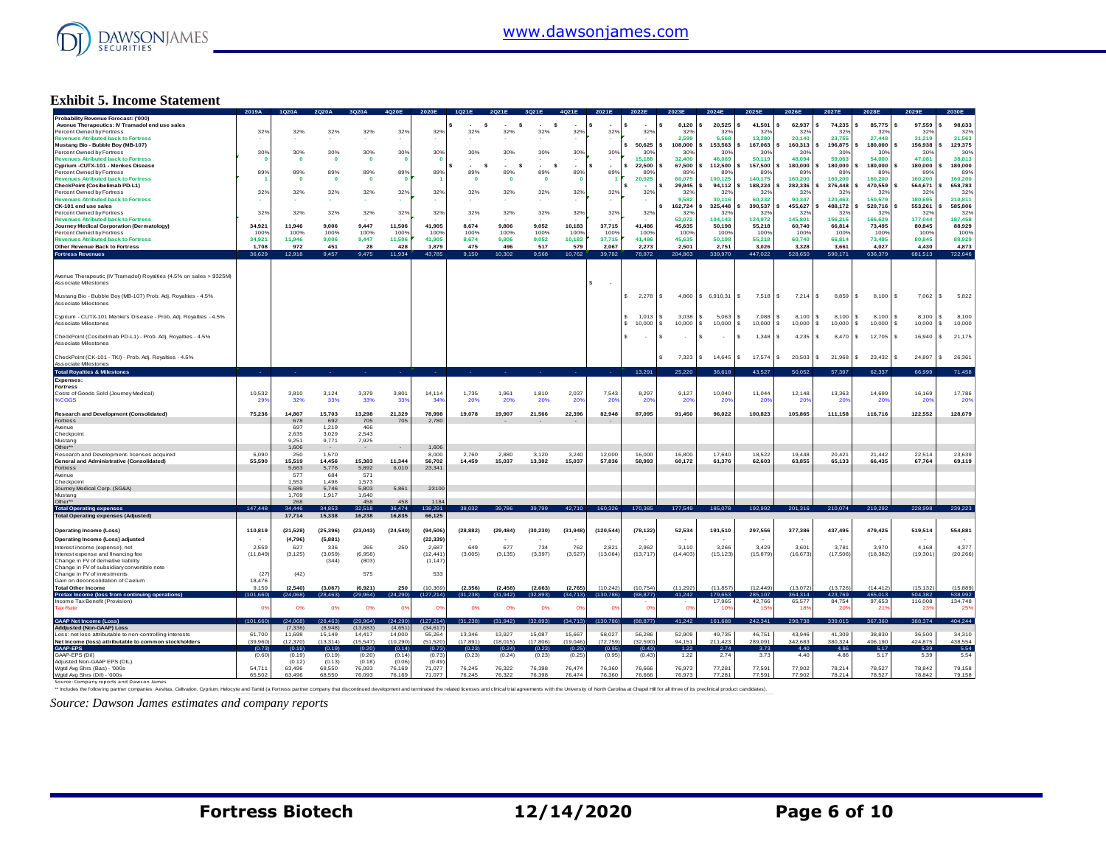

#### **Exhibit 5. Income Statement**

|                                                                                                                                                                                                                               | 2019A     |              |              |                         |                |                 |           |             |              |                |                               |                |                               |                   |                        |                     | 2027F                 |                        |                    |                    |
|-------------------------------------------------------------------------------------------------------------------------------------------------------------------------------------------------------------------------------|-----------|--------------|--------------|-------------------------|----------------|-----------------|-----------|-------------|--------------|----------------|-------------------------------|----------------|-------------------------------|-------------------|------------------------|---------------------|-----------------------|------------------------|--------------------|--------------------|
| Probability Revenue Forecast: ('000)<br>Avenue Therapeutics: IV Tramadol end use sales                                                                                                                                        |           |              |              |                         |                |                 | s         | s           | s            |                |                               |                | 8.120                         | 20,525            | 41,501                 | 62,937              | 74,235                | 85,775                 | 97,559             | 98,633             |
| Percent Owned by Fortress                                                                                                                                                                                                     | 32%       | 32%          | 32%          | 32%                     | 32%            | 32%             | 32%       | 32%         | 32%          | 32%            | 32%                           | 32%            | 32%                           | 329               | 32%                    | 32%                 | 32%                   | 329                    | 329                | 32%                |
| <b>Revenues Atributed back to Fortress</b>                                                                                                                                                                                    |           |              |              |                         |                |                 |           |             |              |                |                               |                | 2.599                         | 6,568             | 13,280                 | 20,140              | 23,755                | 27,448                 | 31,219             | 31,563             |
| Mustang Bio - Bubble Boy (MB-107)                                                                                                                                                                                             |           |              |              |                         |                |                 |           |             |              |                |                               | 50,625         | 108,000                       | 153,563           | 167,063                | 160,313             | 196,875               | 180,000                | 156,938            | 129,375            |
| Percent Owned by Fortress                                                                                                                                                                                                     | 30%       | 30%          | 30%          | 30%                     | 30%            | 30%             | 30%       | 30%         | 30%          | 30%            | 30%                           | 30%            | 30%                           | 30%               | 30%                    | 30%                 | 30 <sup>°</sup>       | 30 <sup>9</sup>        | 30%                | 30%                |
| <b>Revenues Atributed back to Fortress</b>                                                                                                                                                                                    |           | $\mathbf{0}$ | $\mathbf{o}$ | $\overline{\mathbf{0}}$ | $\Omega$       |                 |           |             |              |                |                               | 15.188         | 32,400                        | 46.069            | 50.119                 | 48.094              | 59.063                | 54,000                 | 47.081             | 38,813             |
| Cyprium -CUTX-101 - Menkes Disease                                                                                                                                                                                            |           |              |              |                         |                |                 | <b>s</b>  | s           | s            |                |                               | 22,500         | 67,500                        | 112,500           | 157,500                | 180,000             | 180,000               | 180,000                | 180,000            | 180,000            |
| Percent Owned by Fortress                                                                                                                                                                                                     | 89%       | 89%          | 89%          | 89%                     | 89%            | 89%             | 89%       | 89%         | 89%          | 89%            | 89%                           | 89%            | 89%                           | 89%               | 89%                    | 89%                 | 89%                   | 899                    | 89%                | 89%                |
| <b>Revenues Atributed back to Fortress</b>                                                                                                                                                                                    |           | $\mathbf 0$  | $\mathbf{o}$ | $\mathbf{0}$            |                |                 | $\Omega$  | $\mathbf 0$ | $\mathbf{0}$ | $\Omega$       |                               | 20,025         | 60,075                        | 100,125           | 140,175                | 160,200             | 160,200               | 160,200                | 160,200            | 160,200            |
| CheckPoint (Cosibelimab PD-L1)                                                                                                                                                                                                |           |              |              |                         |                |                 |           |             |              |                |                               | <b>.</b>       | 29,945                        | 94.112            | 188,224                | 282.336             | 376,448               | 470,559                | 564.671            | 658,783            |
| Percent Owned by Fortress                                                                                                                                                                                                     | 32%       | 32%          | 32%          | 32%                     | 32%            | 32%             | 32%       | 32%         | 32%          | 32%            | 32%                           | 32%            | 329<br>9,582                  | 329               | 329                    | 329                 | 329                   | 32 <sup>o</sup>        | 329                | 329                |
| <b>Revenues Atributed back to Fortress</b><br>CK-101 end use sales                                                                                                                                                            |           |              |              |                         |                |                 |           |             |              |                |                               |                | 162,724                       | 30,116<br>325,448 | 60,232<br>390,537      | 90,347<br>455,627   | 120,463<br>488,172    | 150,579<br>520,716     | 180,695<br>553,261 | 210,811<br>585,806 |
| Percent Owned by Fortress                                                                                                                                                                                                     |           | 32%          | 32%          | 32%                     |                |                 | 32%       | 32%         | 32%          | 32%            |                               |                | 329                           | 32%               | 32%                    | 32%                 | 32%                   | 32 <sup>o</sup>        | 32 <sup>0</sup>    | 32%                |
| <b>Revenues Atributed back to Fortress</b>                                                                                                                                                                                    | 32%       |              |              |                         | 32%            | 32%             |           |             |              |                | 32%                           | 32%            | 52.072                        | 104,143           | 124,972                | 145,801             | 156,215               | 166,629                | 177,044            | 187,458            |
| Journey Medical Corporation (Dermatology)                                                                                                                                                                                     | 34.921    | 11.946       | 9.006        | 9.447                   | 11.506         | 41.905          | 8.674     | 9.806       | 9.052        | 10.183         | 37.715                        | 41.486         | 45.635                        | 50.198            | 55.218                 | 60.740              | 66.814                | 73.495                 | 80.845             | 88.929             |
| Percent Owned by Fortress                                                                                                                                                                                                     | 100%      | 100%         | 100%         | 100%                    | 100%           | 1009            | 100%      | 100%        | 100%         | 100%           | 100%                          | 100%           | 1009                          | 100%              | 100%                   | 100%                | 100%                  | 1009                   | 100%               | 100%               |
| <b>Revenues Atributed back to Fortress</b>                                                                                                                                                                                    | 34,921    | 11,946       | 9,006        | 9,447                   | 11,506         | 41,905          | 8,674     | 9,806       | 9,052        | 10,183         | 37,715                        | 41,486         | 45,635                        | 50,198            | 55,218                 | 60,740              | 66,814                | 73,495                 | 80,845             | 88,929             |
| Other Revenue Back to Fortress                                                                                                                                                                                                | 1.708     | 972          | 451          | 28                      | 428            | 1.879           | 475       | 496         | 517          | 579            | 2.067                         | 2.273          | 2.501                         | 2.751             | 3.026                  | 3.328               | 3.661                 | 4.027                  | 4,430              | 4.873              |
|                                                                                                                                                                                                                               | 36,629    | 12,918       | 9.457        | 9,475                   | 11,934         | 43,785          | 9.150     | 10.302      | 9.568        | 10,762         | 39,782                        | 78,972         | 204,863                       | 339,970           | 447.022                | 528,650             | 590,171               | 636,379                | 681,513            | 722,646            |
| <b>Fortress Revenues</b>                                                                                                                                                                                                      |           |              |              |                         |                |                 |           |             |              |                |                               |                |                               |                   |                        |                     |                       |                        |                    |                    |
|                                                                                                                                                                                                                               |           |              |              |                         |                |                 |           |             |              |                |                               |                |                               |                   |                        |                     |                       |                        |                    |                    |
| Avenue Therapeutic (IV Tramadol) Royalties (4.5% on sales > \$325M)<br>Associate Milestones                                                                                                                                   |           |              |              |                         |                |                 |           |             |              |                | s<br>$\overline{\phantom{a}}$ |                |                               |                   |                        |                     |                       |                        |                    |                    |
| Mustang Bio - Bubble Boy (MB-107) Prob. Adj. Royalties - 4.5%                                                                                                                                                                 |           |              |              |                         |                |                 |           |             |              |                |                               | \$2,278        | 4860<br>l S                   | \$6,910.31        | l s<br>7.518           | l s<br>$7.214$ S    | 8.859                 | 8,100<br>$\mathbf{s}$  | 7,062<br>-S.       | $\sim$<br>5,822    |
| Associate Milestones                                                                                                                                                                                                          |           |              |              |                         |                |                 |           |             |              |                |                               |                |                               |                   |                        |                     |                       |                        |                    |                    |
|                                                                                                                                                                                                                               |           |              |              |                         |                |                 |           |             |              |                |                               |                |                               |                   |                        |                     |                       |                        |                    |                    |
| Cyprium - CUTX-101 Menke's Disease - Prob. Adj. Royalties - 4.5%                                                                                                                                                              |           |              |              |                         |                |                 |           |             |              |                |                               | 1.013          | 3.038<br>-S.                  | 5.063             | 7.088                  | $8,100$ \ \$<br>-S. | 8.100                 | s.<br>8,100            | 8.100              | l s<br>8,100       |
| Associate Milestones                                                                                                                                                                                                          |           |              |              |                         |                |                 |           |             |              |                |                               | 10,000         | <b>S</b><br>10,000            | 10,000<br>s.      | 10,000<br>$\mathbf{s}$ | s.<br>10,000        | s.<br>10,000          | s.<br>10,000           | s.<br>$10,000$ \$  | 10,000             |
|                                                                                                                                                                                                                               |           |              |              |                         |                |                 |           |             |              |                |                               |                |                               |                   |                        |                     |                       |                        |                    |                    |
| CheckPoint (Cosibelmab PD-L1) - Prob. Adj. Royalties - 4.5%                                                                                                                                                                   |           |              |              |                         |                |                 |           |             |              |                |                               | $\sim$         | s<br>$\overline{\phantom{a}}$ | S.<br>$\sim$      | s.<br>1.348            | s.<br>4.235         | 8.470<br>$\mathbf{s}$ | 12,705<br>$\mathbf{s}$ | 16,940             | 21,175<br>$\sim$   |
| Associate Milestones                                                                                                                                                                                                          |           |              |              |                         |                |                 |           |             |              |                |                               |                |                               |                   |                        |                     |                       |                        |                    |                    |
|                                                                                                                                                                                                                               |           |              |              |                         |                |                 |           |             |              |                |                               |                |                               |                   |                        |                     |                       |                        |                    |                    |
| CheckPoint (CK-101 - TKI) - Prob. Adj. Royalties - 4.5%                                                                                                                                                                       |           |              |              |                         |                |                 |           |             |              |                |                               |                | 7,323                         | 14,645            | 17,574                 | 20,503              | l s<br>21,968         | 23,432<br>¢            | 24,897             | $\sim$<br>26,361   |
| Associate Milestones                                                                                                                                                                                                          |           |              |              |                         |                |                 |           |             |              |                |                               |                |                               |                   |                        |                     |                       |                        |                    |                    |
| <b>Total Royalties &amp; Milestones</b>                                                                                                                                                                                       |           |              |              |                         |                |                 |           |             |              |                |                               | 13,291         | 25,220                        | 36.618            | 43,527                 | 50,052              | 57.397                | 62.337                 | 66.999             | 71,458             |
| Expenses:                                                                                                                                                                                                                     |           |              |              |                         |                |                 |           |             |              |                |                               |                |                               |                   |                        |                     |                       |                        |                    |                    |
| <b>Fortress</b>                                                                                                                                                                                                               |           |              |              |                         |                |                 |           |             |              |                |                               |                |                               |                   |                        |                     |                       |                        |                    |                    |
| Costs of Goods Sold (Journey Medical)                                                                                                                                                                                         | 10,532    | 3.810        | 3,124        | 3,379                   | 3,801          | 14.114          | 1,735     | 1,961       | 1,810        | 2,037          | 7.543                         | 8,297          | 9.127                         | 10,040            | 11,044                 | 12,148              | 13,363                | 14,699                 | 16,169             | 17,786             |
| %COGS                                                                                                                                                                                                                         | 29        | 32%          | 33%          | 33%                     | 33'            | 34 <sup>°</sup> | 20%       | 20%         | 20%          | 209            | 20%                           | -209           | 20'                           | 209               | $20^{\circ}$           | 20                  | -20                   | 20 <sup>6</sup>        | $20^{\circ}$       | <b>20%</b>         |
|                                                                                                                                                                                                                               |           |              |              |                         |                |                 |           |             |              |                |                               |                |                               |                   |                        |                     |                       |                        |                    |                    |
| <b>Research and Development (Consolidated)</b>                                                                                                                                                                                | 75,236    | 14,867       | 15,703       | 13,298                  | 21,329         | 78,998          | 19,078    | 19,907      | 21,566       | 22,396         | 82,948                        | 87,095         | 91,450                        | 96,022            | 100,823                | 105,865             | 111,158               | 116,716                | 122,552            | 128,679            |
| Fortress                                                                                                                                                                                                                      |           | 678          | 692          | 705                     | 705            | 2.780           |           |             |              |                |                               |                |                               |                   |                        |                     |                       |                        |                    |                    |
| Avenue                                                                                                                                                                                                                        |           | 697          | 1.219        | 466                     |                |                 |           |             |              |                |                               |                |                               |                   |                        |                     |                       |                        |                    |                    |
| Checkpoint                                                                                                                                                                                                                    |           | 2,635        | 3,029        | 2,543                   |                |                 |           |             |              |                |                               |                |                               |                   |                        |                     |                       |                        |                    |                    |
| Mustang                                                                                                                                                                                                                       |           | 9 2 5 1      | 9 7 7 1      | 7.925                   |                |                 |           |             |              |                |                               |                |                               |                   |                        |                     |                       |                        |                    |                    |
| Other**                                                                                                                                                                                                                       |           | 1,606        |              |                         |                | 1,606           |           |             |              |                |                               |                |                               |                   |                        |                     |                       |                        |                    |                    |
| Research and Development- licenses acquired                                                                                                                                                                                   | 6,090     | 250          | 1,570        |                         |                | 8,000           | 2,760     | 2,880       | 3,120        | 3.240          | 12.000                        | 16,000         | 16.800                        | 17,640            | 18,522                 | 19,448              | 20,421                | 21,442                 | 22,514             | 23,639             |
| General and Administrative (Consolidated)                                                                                                                                                                                     | 55,590    | 15.519       | 14.456       | 15.383                  | 11.344         | 56,702          | 14,459    | 15,037      | 13.302       | 15.037         | 57.836                        | 58,993         | 60.172                        | 61.376            | 62,603                 | 63.855              | 65,133                | 66,435                 | 67.764             | 69.119             |
| Fortress                                                                                                                                                                                                                      |           | 5,663        | 5,776        | 5,892<br>571            | 6,010          | 23,341          |           |             |              |                |                               |                |                               |                   |                        |                     |                       |                        |                    |                    |
| Avenue                                                                                                                                                                                                                        |           | 577<br>1.553 | 684<br>1.496 |                         |                |                 |           |             |              |                |                               |                |                               |                   |                        |                     |                       |                        |                    |                    |
| Checkpoint<br>Journey Medical Corp. (SG&A)                                                                                                                                                                                    |           | 5,689        | 5.746        | 1,573<br>5,803          | 5,861          | 23100           |           |             |              |                |                               |                |                               |                   |                        |                     |                       |                        |                    |                    |
| Mustang                                                                                                                                                                                                                       |           | 1.769        | 1,917        | 1.640                   |                |                 |           |             |              |                |                               |                |                               |                   |                        |                     |                       |                        |                    |                    |
| Other*                                                                                                                                                                                                                        |           | 268          |              | 458                     | 458            | 1184            |           |             |              |                |                               |                |                               |                   |                        |                     |                       |                        |                    |                    |
| <b>Total Operating expenses</b>                                                                                                                                                                                               | 147,448   | 34.446       | 34.85        | 32.518                  | 6.474          | 38.29           |           |             |              | 42.710         | 160,326                       | 170,385        | 177,549                       | 185,078           | 192.992                | 201.316             | 210,074               | 219,292                | 228,998            | 239.22             |
| <b>Total Operating expenses (Adjusted)</b>                                                                                                                                                                                    |           | 17,714       | 15,338       | 16,238                  | 16,835         | 66,125          |           |             |              |                |                               |                |                               |                   |                        |                     |                       |                        |                    |                    |
|                                                                                                                                                                                                                               |           |              |              |                         |                |                 |           |             |              |                |                               |                |                               |                   |                        |                     |                       |                        |                    |                    |
| <b>Operating Income (Loss)</b>                                                                                                                                                                                                | 110,819   | (21, 528)    | (25.396)     | (23, 043)               | (24, 540)      | (94.506)        | (28, 882) | (29, 484)   | (30, 230)    | (31, 948)      | (120, 544)                    | (78, 122)      | 52,534                        | 191,510           | 297,556                | 377,386             | 437.495               | 479,425                | 519,514            | 554,881            |
|                                                                                                                                                                                                                               |           |              |              |                         |                |                 |           |             |              |                |                               |                |                               |                   |                        |                     |                       |                        |                    |                    |
| Operating Income (Loss) adjusted                                                                                                                                                                                              |           | (4,796)      | (5,881)      |                         |                | (22, 339)       |           |             |              |                |                               |                |                               |                   |                        |                     |                       |                        |                    |                    |
| Interest income (expense) net                                                                                                                                                                                                 | 2.559     | 627          | 336          | 265                     | 250            | 2.687           | 649       | 677         | 734          | 762            | 2821                          | 2962           | 3.110                         | 3.266             | 3429                   | 3.601               | 3.781                 | 3.970                  | 4 168              | 4 3 7 7            |
| Interest expense and financing fee                                                                                                                                                                                            | (11, 849) | (3, 125)     | (3,059)      | (6,958)                 |                | (12, 441)       | (3,005)   | (3, 135)    | (3, 397)     | (3, 527)       | (13,064)                      | (13,717)       | (14, 403)                     | (15, 123)         | (15, 879)              | (16, 673)           | (17,506)              | (18, 382)              | (19, 301)          | (20, 266)          |
| Change in FV of derivative liability<br>Change in FV of subsidiary convertible note                                                                                                                                           |           |              | (344)        | (803)                   |                | (1, 147)        |           |             |              |                |                               |                |                               |                   |                        |                     |                       |                        |                    |                    |
| Change in FV of investments                                                                                                                                                                                                   | (27)      | (42)         |              | 575                     |                | 533             |           |             |              |                |                               |                |                               |                   |                        |                     |                       |                        |                    |                    |
| Gain on deconsolidation of Caelum                                                                                                                                                                                             | 18 476    |              |              |                         |                |                 |           |             |              |                |                               |                |                               |                   |                        |                     |                       |                        |                    |                    |
| <b>Total Other Income</b>                                                                                                                                                                                                     | 9 1 5 9   | (2.540)      | (3.067)      | (6,921)                 | 250            | (10.369)        | (2, 356)  | (2, 458)    | (2.663)      | (2,765)        | (10.242)                      | (10.754)       | (11.292)                      | (11.857)          | (12.449)               | (13.072)            | (13.726)              | (14.412)               | (15.132)           | (15.889)           |
| Pretax Income (loss fro                                                                                                                                                                                                       | (101.66)  | (24,068)     |              | 99.9641                 | 1.290)         | (127.214)       | (31, 238) | 31 942)     | (32.893)     | 34.713)        | (130.786                      | (88,877        | 41.242                        | 79.653            | 85.107                 | 64314               | 423,76                | 465.01                 | 504 382            | 538,992            |
| Income Tax Benefit (Provision)                                                                                                                                                                                                |           |              |              |                         |                |                 |           |             |              |                |                               |                |                               | 17.965            | 42,766                 | 65,577              | 84.754                | 97.653                 | 116,008            | 134,748            |
| <b>Tax Rate</b>                                                                                                                                                                                                               | œ         | 0%           | 0%           | 0%                      | O <sup>9</sup> |                 | 0%        | 0%          | 0%           | O <sup>9</sup> | 0 <sup>9</sup>                | O <sup>s</sup> | 0 <sup>9</sup>                | 109               | 15%                    | 18'                 | 20'                   | 219                    | 239                | 259                |
|                                                                                                                                                                                                                               |           |              |              |                         |                |                 |           |             |              |                |                               |                |                               |                   |                        |                     |                       |                        |                    |                    |
| <b>GAAP Net Income (Loss)</b>                                                                                                                                                                                                 | (101,660) | (24.068      | 28.463       | (29.964                 | (24, 290)      | (127, 214)      | (31, 238) | (31.942)    | (32, 893)    | (34, 713)      | (130, 786)                    | (88, 877)      | 41,242                        | 161,688           | 242,341                | 298,738             | 339,015               | 367,360                | 388,374            | 404,244            |
| <b>Addiusted (Non-GAAP) Loss</b>                                                                                                                                                                                              |           | (7, 336)     | (8.948)      | (13, 683)               | (4,651)        | (34, 617)       |           |             |              |                |                               |                |                               |                   |                        |                     |                       |                        |                    |                    |
| Less: net loss attributable to non-controlling interests                                                                                                                                                                      | 61,700    | 11,698       | 15.149       | 14,417                  | 14.000         | 55,264          | 13.346    | 13.927      | 15,087       | 15,667         | 58.027                        | 56.286         | 52,909                        | 49,735            | 46,751                 | 43.946              | 41.309                | 38,830                 | 36,500             | 34,310             |
| Net Income (loss) attributable to common stockholders                                                                                                                                                                         | (39.960)  | (12, 370)    | (13.314)     | (15.547)                | (10.290)       | (51, 520)       | (17.891)  | (18.015)    | (17.806)     | (19.046)       | (72, 759)                     | (32.590)       | 94 151                        | 211 423           | 289.091                | 342 683             | 380 324               | 406 190                | 424 875            | 438,554            |
| GAAP-EPS                                                                                                                                                                                                                      | (0.73)    | (0.19)       | (0.19)       | (0.20)                  | (0.14)         | (0.73)          | (0.23)    | (0.24)      | (0.23)       | (0.25)         | (0.95)                        | (0.43)         | 1.22                          | 2.74              | 3.73                   | $-4.40$             | 4.86                  | 5.17                   | 5.39               | 5.54               |
| GAAP-EPS (Dil)                                                                                                                                                                                                                | (0.60)    | (0.19)       | (0.19)       | (0.20)                  | (0.14)         | (0.73)          | (0.23)    | (0.24)      | (0.23)       | (0.25)         | (0.95)                        | (0.43)         | 1.22                          | 2.74              | 3.73                   | 4.40                | 4.86                  | 5.17                   | 5.39               | 5.54               |
| Adjusted Non-GAAP EPS (DIL)                                                                                                                                                                                                   |           | (0.12)       | (0.13)       | (0.18)                  | (0.06)         | (0.49)          |           |             |              |                |                               |                |                               |                   |                        |                     |                       |                        |                    |                    |
| Wgtd Avg Shrs (Bas) - '000s                                                                                                                                                                                                   | 54.711    | 63,496       | 68,550       | 76,093                  | 76,169         | 71,077          | 76.245    | 76.322      | 76,398       | 76.474         | 76,360                        | 76,666         | 76.973                        | 77.28             | 77,591                 | 77,902              | 78,214                | 78.527                 | 78.842             | 79.158             |
| Wgtd Avg Shrs (Dil) - '000s                                                                                                                                                                                                   | 65,502    | 63,496       | 68,550       | 76.093                  | 76.169         | 71.077          | 76,245    | 76,322      | 76,398       | 76.474         | 76,360                        | 76,666         | 76.973                        | 77.281            | 77,591                 | 77,902              | 78,214                | 78,527                 | 78,842             | 79,158             |
| Source: Company reports and Dawson James                                                                                                                                                                                      |           |              |              |                         |                |                 |           |             |              |                |                               |                |                               |                   |                        |                     |                       |                        |                    |                    |
| ** holudes the follow ing partner companies: Aevitas, Celvation, Cyprium, Helocyte and Tamid (a Fortress partner company that discontinued development and terminated the related licenses and clinical trial agreements with |           |              |              |                         |                |                 |           |             |              |                |                               |                |                               |                   |                        |                     |                       |                        |                    |                    |
|                                                                                                                                                                                                                               |           |              |              |                         |                |                 |           |             |              |                |                               |                |                               |                   |                        |                     |                       |                        |                    |                    |
| Source: Dawson James estimates and company reports                                                                                                                                                                            |           |              |              |                         |                |                 |           |             |              |                |                               |                |                               |                   |                        |                     |                       |                        |                    |                    |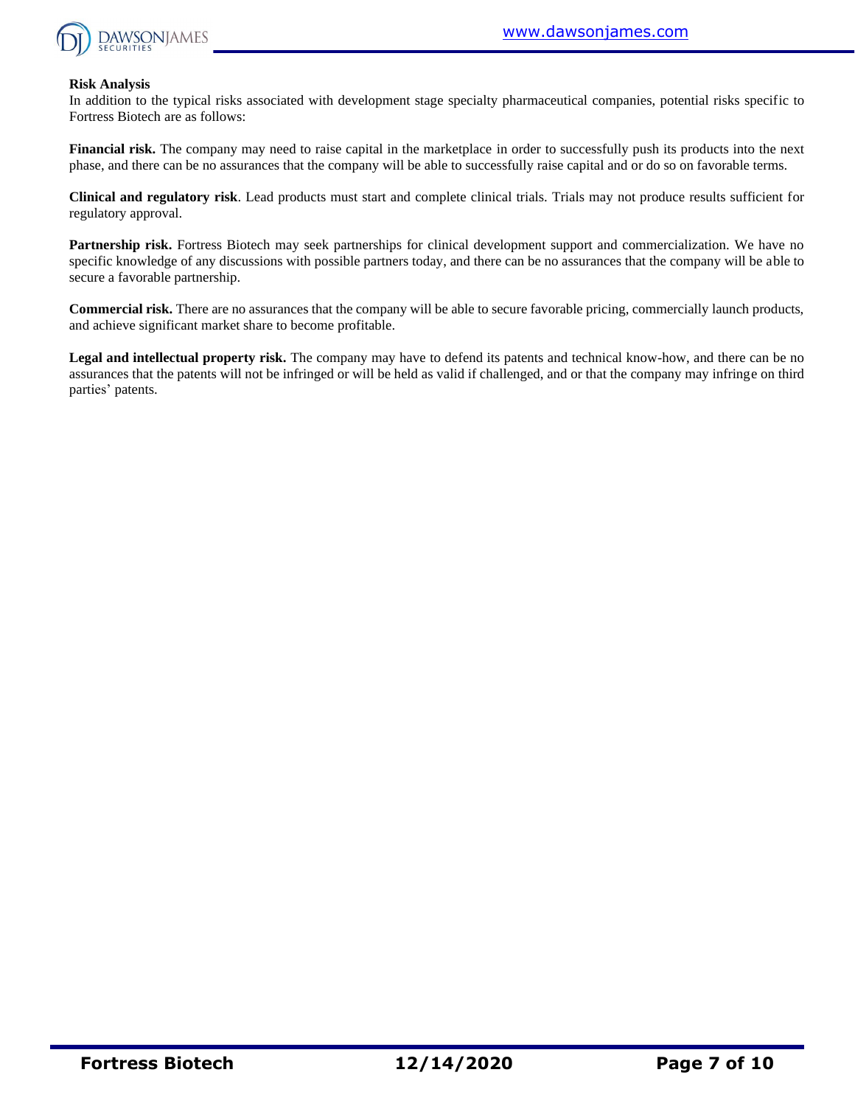

#### **Risk Analysis**

In addition to the typical risks associated with development stage specialty pharmaceutical companies, potential risks specific to Fortress Biotech are as follows:

**Financial risk.** The company may need to raise capital in the marketplace in order to successfully push its products into the next phase, and there can be no assurances that the company will be able to successfully raise capital and or do so on favorable terms.

**Clinical and regulatory risk**. Lead products must start and complete clinical trials. Trials may not produce results sufficient for regulatory approval.

**Partnership risk.** Fortress Biotech may seek partnerships for clinical development support and commercialization. We have no specific knowledge of any discussions with possible partners today, and there can be no assurances that the company will be able to secure a favorable partnership.

**Commercial risk.** There are no assurances that the company will be able to secure favorable pricing, commercially launch products, and achieve significant market share to become profitable.

**Legal and intellectual property risk.** The company may have to defend its patents and technical know-how, and there can be no assurances that the patents will not be infringed or will be held as valid if challenged, and or that the company may infringe on third parties' patents.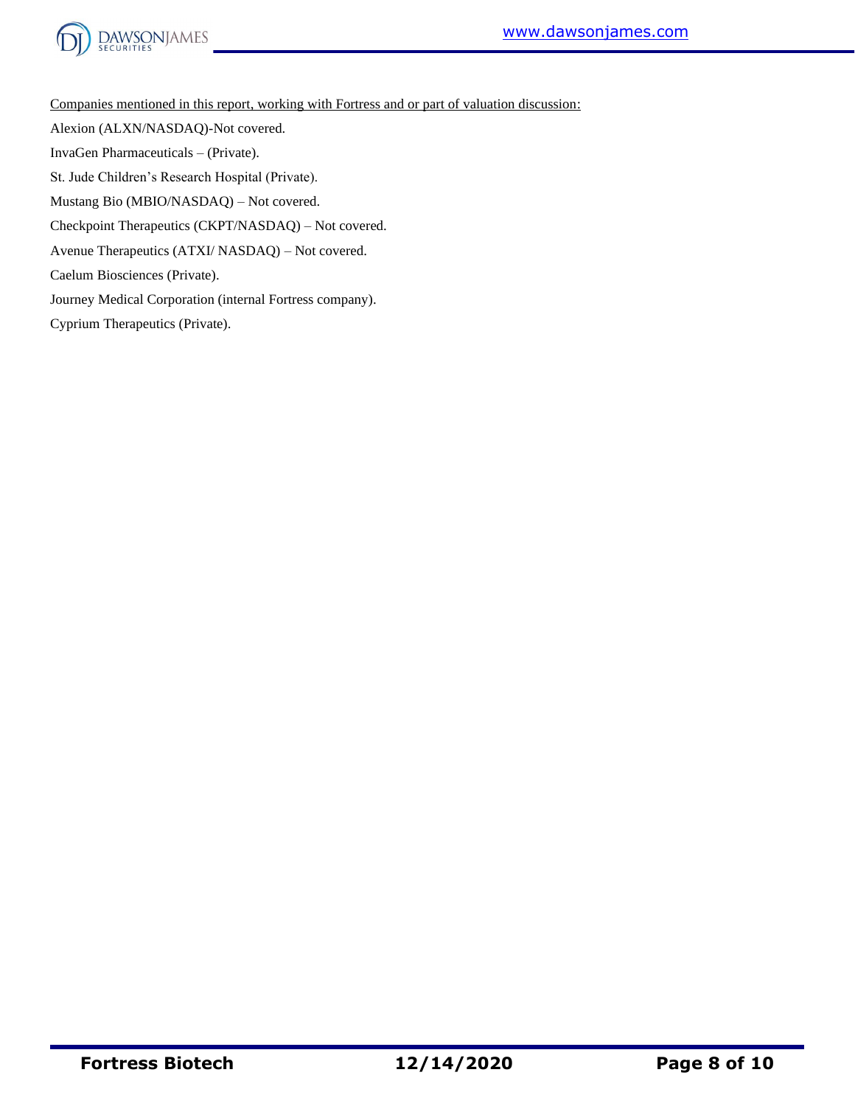



Companies mentioned in this report, working with Fortress and or part of valuation discussion:

Alexion (ALXN/NASDAQ)-Not covered.

InvaGen Pharmaceuticals – (Private).

St. Jude Children's Research Hospital (Private).

Mustang Bio (MBIO/NASDAQ) – Not covered.

Checkpoint Therapeutics (CKPT/NASDAQ) – Not covered.

Avenue Therapeutics (ATXI/ NASDAQ) – Not covered.

Caelum Biosciences (Private).

Journey Medical Corporation (internal Fortress company).

Cyprium Therapeutics (Private).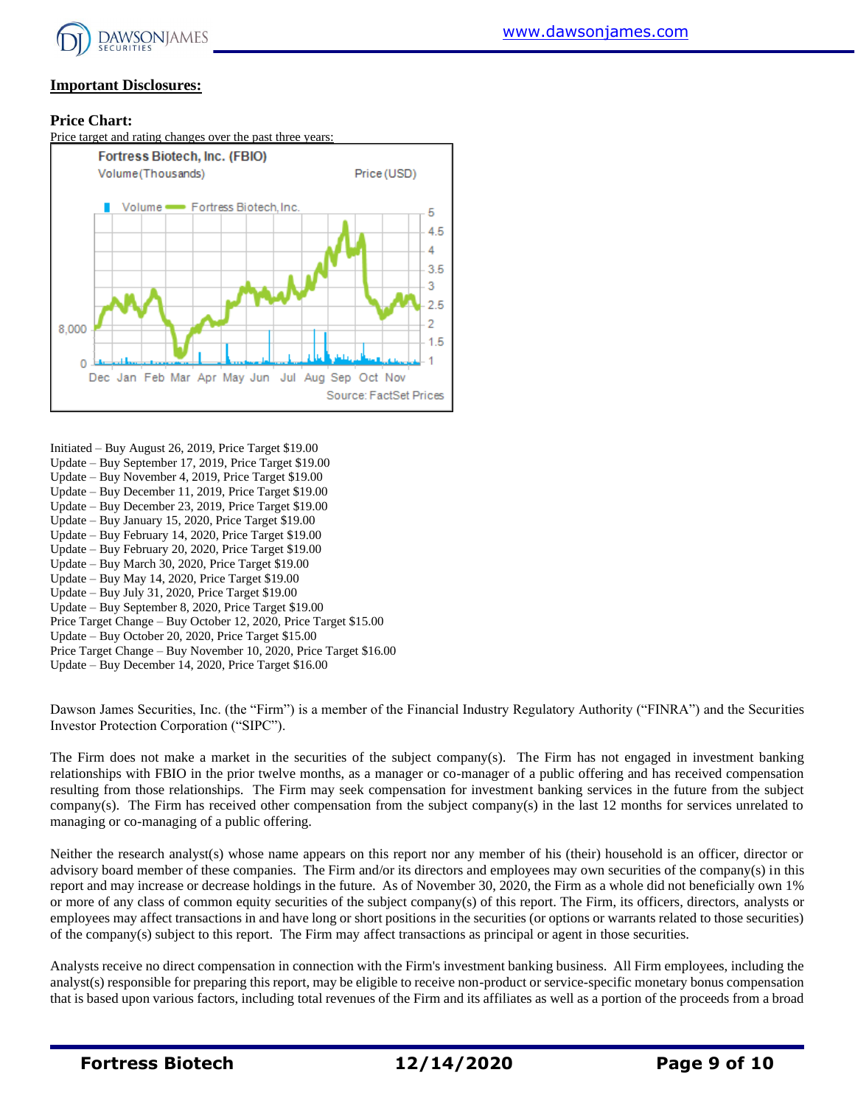

#### **Important Disclosures:**

#### **Price Chart:**



- Initiated Buy August 26, 2019, Price Target \$19.00
- Update Buy September 17, 2019, Price Target \$19.00
- Update Buy November 4, 2019, Price Target \$19.00
- Update Buy December 11, 2019, Price Target \$19.00
- Update Buy December 23, 2019, Price Target \$19.00
- Update Buy January 15, 2020, Price Target \$19.00 Update – Buy February 14, 2020, Price Target \$19.00
- Update Buy February 20, 2020, Price Target \$19.00
- Update Buy March 30, 2020, Price Target \$19.00
- Update Buy May 14, 2020, Price Target \$19.00
- Update Buy July 31, 2020, Price Target \$19.00
- Update Buy September 8, 2020, Price Target \$19.00
- Price Target Change Buy October 12, 2020, Price Target \$15.00
- Update Buy October 20, 2020, Price Target \$15.00
- Price Target Change Buy November 10, 2020, Price Target \$16.00
- Update Buy December 14, 2020, Price Target \$16.00

Dawson James Securities, Inc. (the "Firm") is a member of the Financial Industry Regulatory Authority ("FINRA") and the Securities Investor Protection Corporation ("SIPC").

The Firm does not make a market in the securities of the subject company(s). The Firm has not engaged in investment banking relationships with FBIO in the prior twelve months, as a manager or co-manager of a public offering and has received compensation resulting from those relationships. The Firm may seek compensation for investment banking services in the future from the subject company(s). The Firm has received other compensation from the subject company(s) in the last 12 months for services unrelated to managing or co-managing of a public offering.

Neither the research analyst(s) whose name appears on this report nor any member of his (their) household is an officer, director or advisory board member of these companies. The Firm and/or its directors and employees may own securities of the company(s) in this report and may increase or decrease holdings in the future. As of November 30, 2020, the Firm as a whole did not beneficially own 1% or more of any class of common equity securities of the subject company(s) of this report. The Firm, its officers, directors, analysts or employees may affect transactions in and have long or short positions in the securities (or options or warrants related to those securities) of the company(s) subject to this report. The Firm may affect transactions as principal or agent in those securities.

Analysts receive no direct compensation in connection with the Firm's investment banking business. All Firm employees, including the analyst(s) responsible for preparing this report, may be eligible to receive non-product or service-specific monetary bonus compensation that is based upon various factors, including total revenues of the Firm and its affiliates as well as a portion of the proceeds from a broad